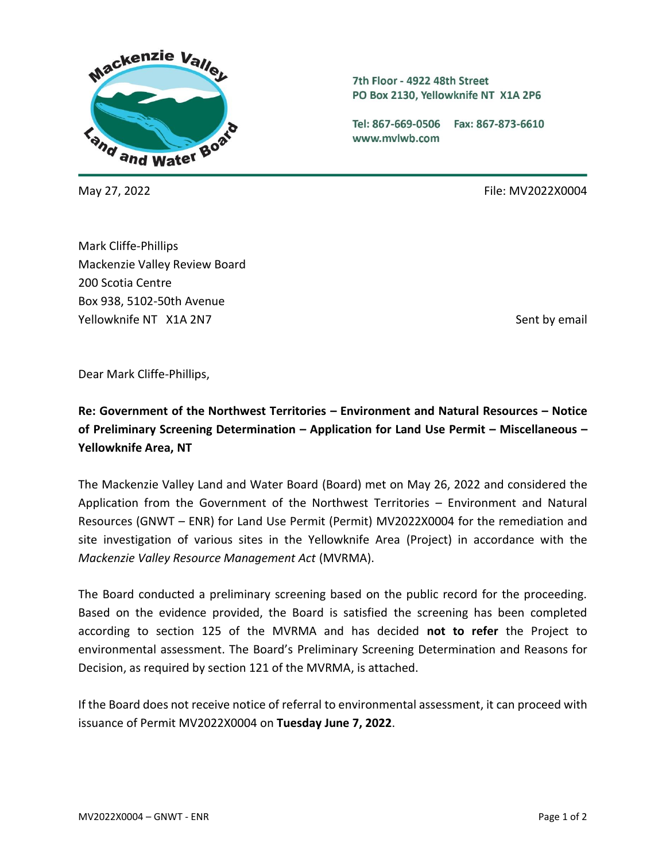

7th Floor - 4922 48th Street PO Box 2130, Yellowknife NT X1A 2P6

Tel: 867-669-0506 Fax: 867-873-6610 www.mvlwb.com

May 27, 2022 **File:** MV2022X0004

Mark Cliffe-Phillips Mackenzie Valley Review Board 200 Scotia Centre Box 938, 5102-50th Avenue Yellowknife NT X1A 2N7 Sent by email and the sense of the sense of the sense of the Sent by email

Dear Mark Cliffe-Phillips,

**Re: Government of the Northwest Territories – Environment and Natural Resources – Notice of Preliminary Screening Determination – Application for Land Use Permit – Miscellaneous – Yellowknife Area, NT**

The Mackenzie Valley Land and Water Board (Board) met on May 26, 2022 and considered the Application from the Government of the Northwest Territories – Environment and Natural Resources (GNWT – ENR) for Land Use Permit (Permit) MV2022X0004 for the remediation and site investigation of various sites in the Yellowknife Area (Project) in accordance with the *Mackenzie Valley Resource Management Act* (MVRMA).

The Board conducted a preliminary screening based on the public record for the proceeding. Based on the evidence provided, the Board is satisfied the screening has been completed according to section 125 of the MVRMA and has decided **not to refer** the Project to environmental assessment. The Board's Preliminary Screening Determination and Reasons for Decision, as required by section 121 of the MVRMA, is attached.

If the Board does not receive notice of referral to environmental assessment, it can proceed with issuance of Permit MV2022X0004 on **Tuesday June 7, 2022**.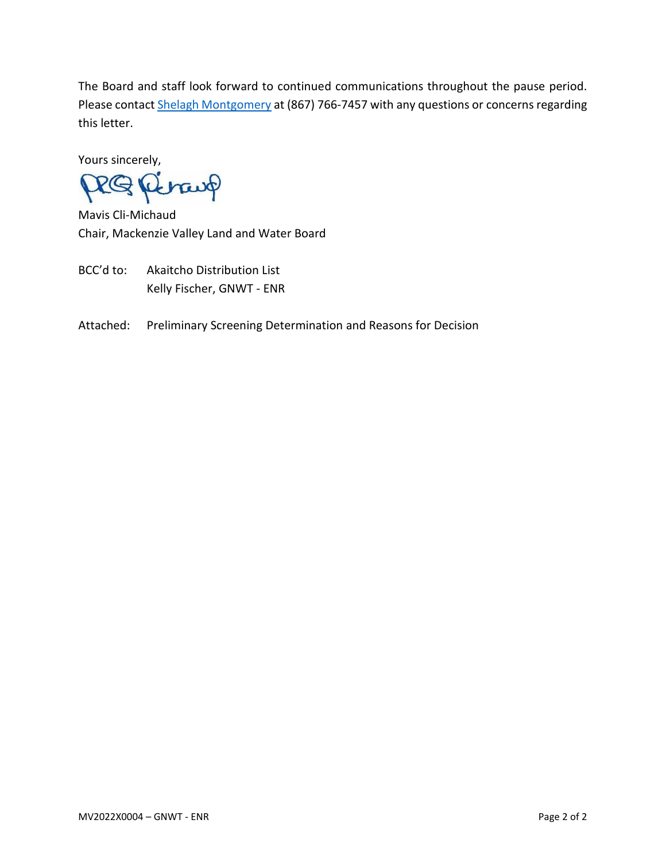The Board and staff look forward to continued communications throughout the pause period. Please contact **Shelagh Montgomery at (867) 766-7457** with any questions or concerns regarding this letter.

Yours sincerely,

RQ Perang

Mavis Cli-Michaud Chair, Mackenzie Valley Land and Water Board

- BCC'd to: Akaitcho Distribution List Kelly Fischer, GNWT - ENR
- Attached: Preliminary Screening Determination and Reasons for Decision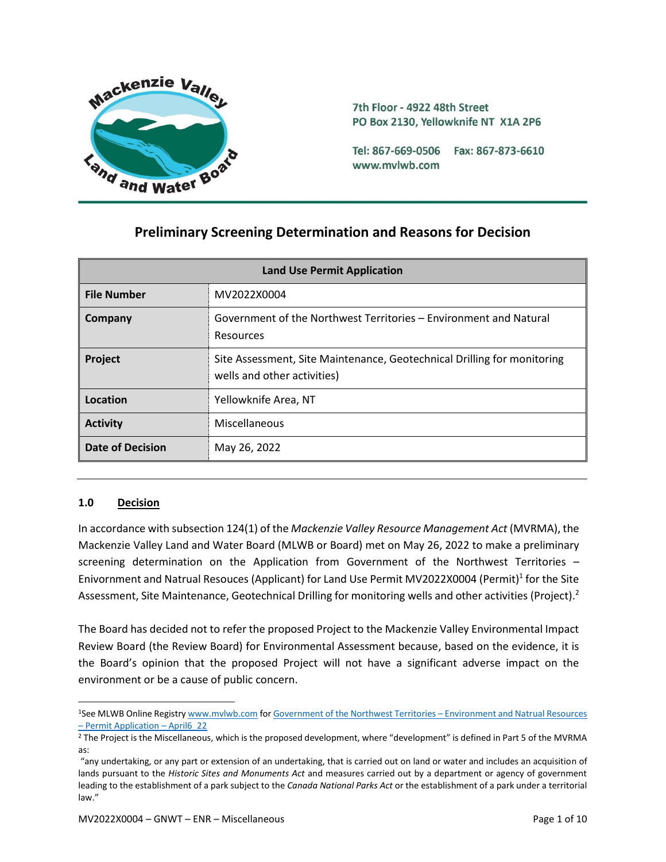

# **Preliminary Screening Determination and Reasons for Decision**

| <b>Land Use Permit Application</b> |                                                                                                        |  |
|------------------------------------|--------------------------------------------------------------------------------------------------------|--|
| <b>File Number</b>                 | MV2022X0004                                                                                            |  |
| Company                            | Government of the Northwest Territories – Environment and Natural<br>Resources                         |  |
| <b>Project</b>                     | Site Assessment, Site Maintenance, Geotechnical Drilling for monitoring<br>wells and other activities) |  |
| Location                           | Yellowknife Area, NT                                                                                   |  |
| <b>Activity</b>                    | Miscellaneous                                                                                          |  |
| <b>Date of Decision</b>            | May 26, 2022                                                                                           |  |

# **1.0 Decision**

In accordance with subsection 124(1) of the *Mackenzie Valley Resource Management Act* (MVRMA), the Mackenzie Valley Land and Water Board (MLWB or Board) met on May 26, 2022 to make a preliminary screening determination on the Application from Government of the Northwest Territories – Enivornment and Natrual Resouces (Applicant) for Land Use Permit MV2022X0004 (Permit)<sup>1</sup> for the Site Assessment, Site Maintenance, Geotechnical Drilling for monitoring wells and other activities (Project).<sup>2</sup>

The Board has decided not to refer the proposed Project to the Mackenzie Valley Environmental Impact Review Board (the Review Board) for Environmental Assessment because, based on the evidence, it is the Board's opinion that the proposed Project will not have a significant adverse impact on the environment or be a cause of public concern.

<sup>1</sup>See MLWB Online Registr[y www.mvlwb.com](https://mvlwb.com/) fo[r Government of the Northwest Territories](https://registry.mvlwb.ca/Documents/MV2022X0004/GNWT-ENR%20-%20Application%20-%20Apr6_22.pdf) - Environment and Natrual Resources – [Permit Application](https://registry.mvlwb.ca/Documents/MV2022X0004/GNWT-ENR%20-%20Application%20-%20Apr6_22.pdf) – April6\_22

<sup>&</sup>lt;sup>2</sup> The Project is the Miscellaneous, which is the proposed development, where "development" is defined in Part 5 of the MVRMA as:

<sup>&</sup>quot;any undertaking, or any part or extension of an undertaking, that is carried out on land or water and includes an acquisition of lands pursuant to the *Historic Sites and Monuments Act* and measures carried out by a department or agency of government leading to the establishment of a park subject to the *Canada National Parks Act* or the establishment of a park under a territorial law."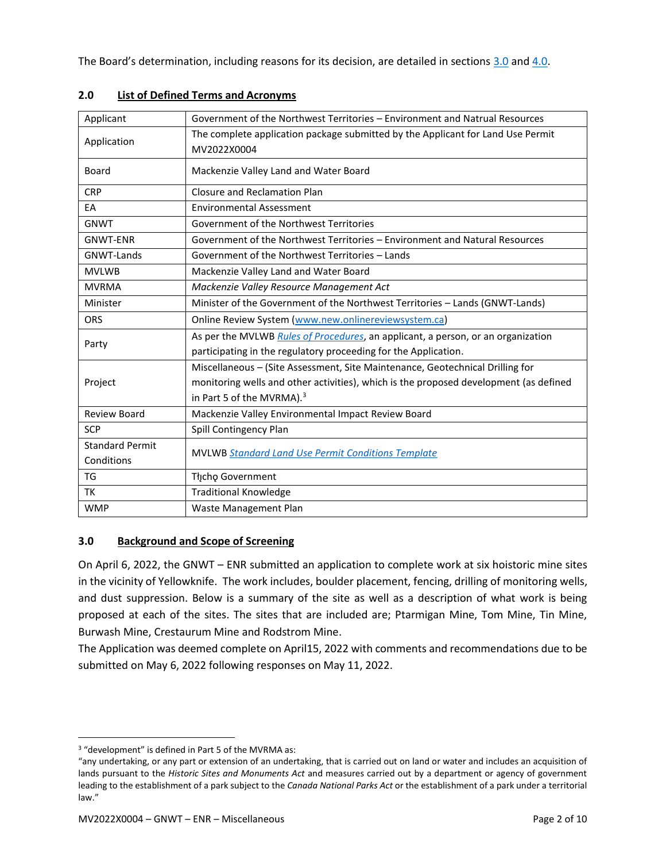The Board's determination, including reasons for its decision, are detailed in sections [3.0](#page-3-0) an[d 4.0.](#page-6-0)

| Applicant              | Government of the Northwest Territories – Environment and Natrual Resources           |  |  |
|------------------------|---------------------------------------------------------------------------------------|--|--|
| Application            | The complete application package submitted by the Applicant for Land Use Permit       |  |  |
|                        | MV2022X0004                                                                           |  |  |
| Board                  | Mackenzie Valley Land and Water Board                                                 |  |  |
| <b>CRP</b>             | Closure and Reclamation Plan                                                          |  |  |
| EA                     | <b>Environmental Assessment</b>                                                       |  |  |
| <b>GNWT</b>            | Government of the Northwest Territories                                               |  |  |
| <b>GNWT-ENR</b>        | Government of the Northwest Territories - Environment and Natural Resources           |  |  |
| GNWT-Lands             | Government of the Northwest Territories - Lands                                       |  |  |
| <b>MVLWB</b>           | Mackenzie Valley Land and Water Board                                                 |  |  |
| <b>MVRMA</b>           | Mackenzie Valley Resource Management Act                                              |  |  |
| Minister               | Minister of the Government of the Northwest Territories - Lands (GNWT-Lands)          |  |  |
| <b>ORS</b>             | Online Review System (www.new.onlinereviewsystem.ca)                                  |  |  |
| Party                  | As per the MVLWB Rules of Procedures, an applicant, a person, or an organization      |  |  |
|                        | participating in the regulatory proceeding for the Application.                       |  |  |
|                        | Miscellaneous - (Site Assessment, Site Maintenance, Geotechnical Drilling for         |  |  |
| Project                | monitoring wells and other activities), which is the proposed development (as defined |  |  |
|                        | in Part 5 of the MVRMA). <sup>3</sup>                                                 |  |  |
| <b>Review Board</b>    | Mackenzie Valley Environmental Impact Review Board                                    |  |  |
| <b>SCP</b>             | Spill Contingency Plan                                                                |  |  |
| <b>Standard Permit</b> |                                                                                       |  |  |
| Conditions             | <b>MVLWB Standard Land Use Permit Conditions Template</b>                             |  |  |
| <b>TG</b>              | Tłycho Government                                                                     |  |  |
| TK                     | <b>Traditional Knowledge</b>                                                          |  |  |
| <b>WMP</b>             | Waste Management Plan                                                                 |  |  |

## **2.0 List of Defined Terms and Acronyms**

# <span id="page-3-0"></span>**3.0 Background and Scope of Screening**

On April 6, 2022, the GNWT – ENR submitted an application to complete work at six hoistoric mine sites in the vicinity of Yellowknife. The work includes, boulder placement, fencing, drilling of monitoring wells, and dust suppression. Below is a summary of the site as well as a description of what work is being proposed at each of the sites. The sites that are included are; Ptarmigan Mine, Tom Mine, Tin Mine, Burwash Mine, Crestaurum Mine and Rodstrom Mine.

The Application was deemed complete on April15, 2022 with comments and recommendations due to be submitted on May 6, 2022 following responses on May 11, 2022.

<sup>3</sup> "development" is defined in Part 5 of the MVRMA as:

<sup>&</sup>quot;any undertaking, or any part or extension of an undertaking, that is carried out on land or water and includes an acquisition of lands pursuant to the *Historic Sites and Monuments Act* and measures carried out by a department or agency of government leading to the establishment of a park subject to the *Canada National Parks Act* or the establishment of a park under a territorial law."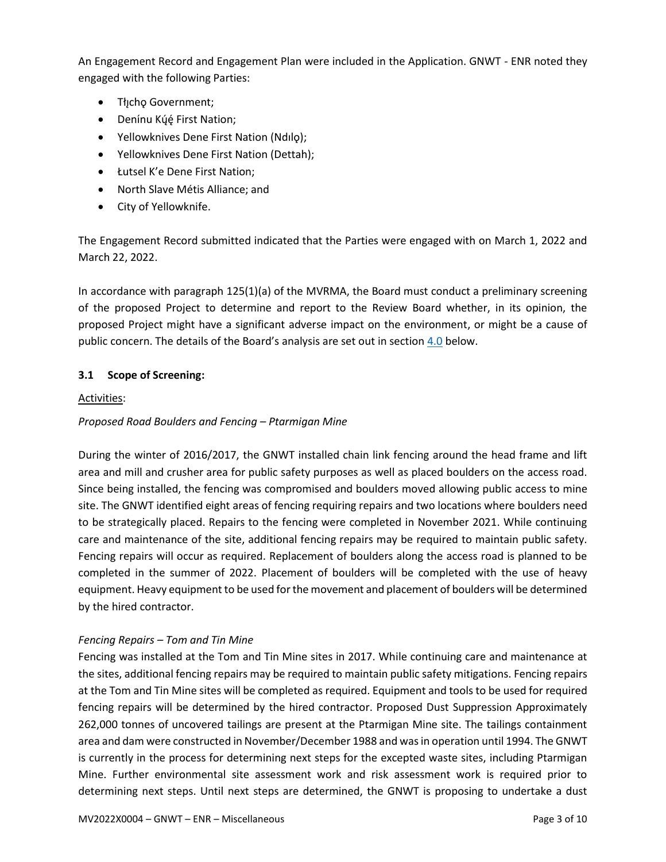An Engagement Record and Engagement Plan were included in the Application. GNWT - ENR noted they engaged with the following Parties:

- Tłįcho Government;
- Denínu Kų́ę́ First Nation;
- Yellowknives Dene First Nation (Ndılǫ);
- Yellowknives Dene First Nation (Dettah);
- Łutsel K'e Dene First Nation;
- North Slave Métis Alliance; and
- City of Yellowknife.

The Engagement Record submitted indicated that the Parties were engaged with on March 1, 2022 and March 22, 2022.

In accordance with paragraph 125(1)(a) of the MVRMA, the Board must conduct a preliminary screening of the proposed Project to determine and report to the Review Board whether, in its opinion, the proposed Project might have a significant adverse impact on the environment, or might be a cause of public concern. The details of the Board's analysis are set out in section  $4.0$  below.

## **3.1 Scope of Screening:**

#### Activities:

### *Proposed Road Boulders and Fencing – Ptarmigan Mine*

During the winter of 2016/2017, the GNWT installed chain link fencing around the head frame and lift area and mill and crusher area for public safety purposes as well as placed boulders on the access road. Since being installed, the fencing was compromised and boulders moved allowing public access to mine site. The GNWT identified eight areas of fencing requiring repairs and two locations where boulders need to be strategically placed. Repairs to the fencing were completed in November 2021. While continuing care and maintenance of the site, additional fencing repairs may be required to maintain public safety. Fencing repairs will occur as required. Replacement of boulders along the access road is planned to be completed in the summer of 2022. Placement of boulders will be completed with the use of heavy equipment. Heavy equipment to be used for the movement and placement of boulders will be determined by the hired contractor.

### *Fencing Repairs – Tom and Tin Mine*

Fencing was installed at the Tom and Tin Mine sites in 2017. While continuing care and maintenance at the sites, additional fencing repairs may be required to maintain public safety mitigations. Fencing repairs at the Tom and Tin Mine sites will be completed as required. Equipment and tools to be used for required fencing repairs will be determined by the hired contractor. Proposed Dust Suppression Approximately 262,000 tonnes of uncovered tailings are present at the Ptarmigan Mine site. The tailings containment area and dam were constructed in November/December 1988 and was in operation until 1994. The GNWT is currently in the process for determining next steps for the excepted waste sites, including Ptarmigan Mine. Further environmental site assessment work and risk assessment work is required prior to determining next steps. Until next steps are determined, the GNWT is proposing to undertake a dust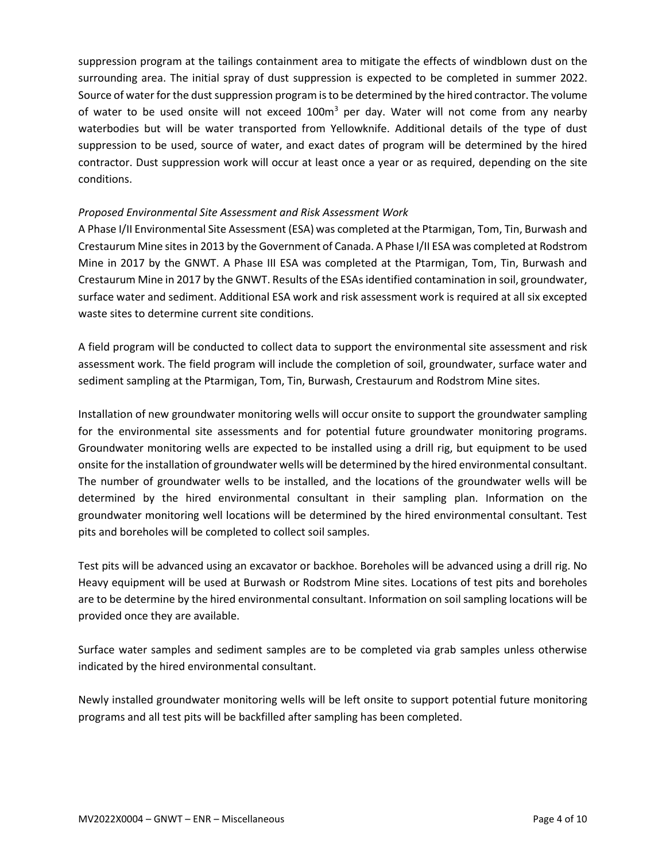suppression program at the tailings containment area to mitigate the effects of windblown dust on the surrounding area. The initial spray of dust suppression is expected to be completed in summer 2022. Source of water for the dust suppression program is to be determined by the hired contractor. The volume of water to be used onsite will not exceed  $100<sup>m</sup>$  per day. Water will not come from any nearby waterbodies but will be water transported from Yellowknife. Additional details of the type of dust suppression to be used, source of water, and exact dates of program will be determined by the hired contractor. Dust suppression work will occur at least once a year or as required, depending on the site conditions.

### *Proposed Environmental Site Assessment and Risk Assessment Work*

A Phase I/II Environmental Site Assessment (ESA) was completed at the Ptarmigan, Tom, Tin, Burwash and Crestaurum Mine sites in 2013 by the Government of Canada. A Phase I/II ESA was completed at Rodstrom Mine in 2017 by the GNWT. A Phase III ESA was completed at the Ptarmigan, Tom, Tin, Burwash and Crestaurum Mine in 2017 by the GNWT. Results of the ESAs identified contamination in soil, groundwater, surface water and sediment. Additional ESA work and risk assessment work is required at all six excepted waste sites to determine current site conditions.

A field program will be conducted to collect data to support the environmental site assessment and risk assessment work. The field program will include the completion of soil, groundwater, surface water and sediment sampling at the Ptarmigan, Tom, Tin, Burwash, Crestaurum and Rodstrom Mine sites.

Installation of new groundwater monitoring wells will occur onsite to support the groundwater sampling for the environmental site assessments and for potential future groundwater monitoring programs. Groundwater monitoring wells are expected to be installed using a drill rig, but equipment to be used onsite for the installation of groundwater wells will be determined by the hired environmental consultant. The number of groundwater wells to be installed, and the locations of the groundwater wells will be determined by the hired environmental consultant in their sampling plan. Information on the groundwater monitoring well locations will be determined by the hired environmental consultant. Test pits and boreholes will be completed to collect soil samples.

Test pits will be advanced using an excavator or backhoe. Boreholes will be advanced using a drill rig. No Heavy equipment will be used at Burwash or Rodstrom Mine sites. Locations of test pits and boreholes are to be determine by the hired environmental consultant. Information on soil sampling locations will be provided once they are available.

Surface water samples and sediment samples are to be completed via grab samples unless otherwise indicated by the hired environmental consultant.

Newly installed groundwater monitoring wells will be left onsite to support potential future monitoring programs and all test pits will be backfilled after sampling has been completed.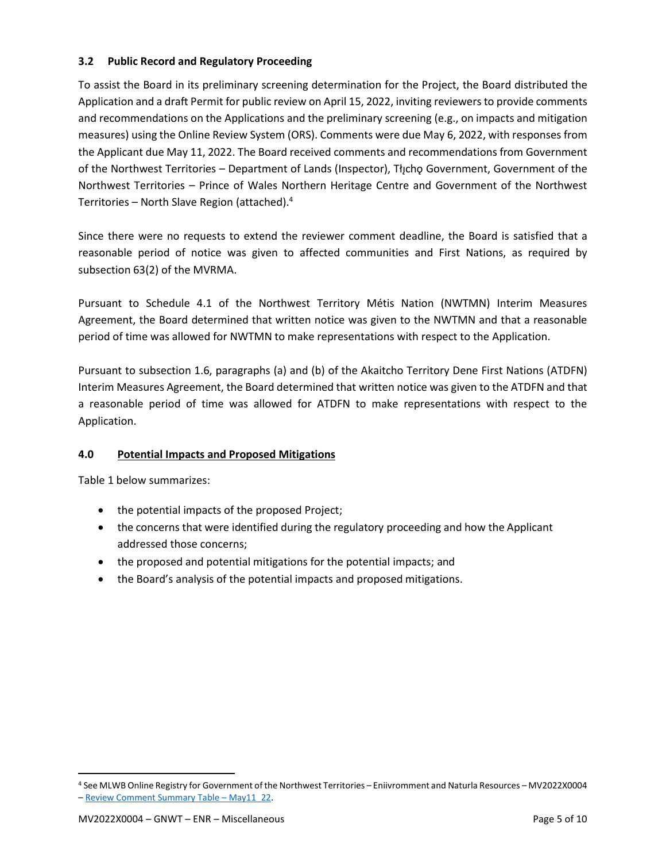## **3.2 Public Record and Regulatory Proceeding**

To assist the Board in its preliminary screening determination for the Project, the Board distributed the Application and a draft Permit for public review on April 15, 2022, inviting reviewers to provide comments and recommendations on the Applications and the preliminary screening (e.g., on impacts and mitigation measures) using the Online Review System (ORS). Comments were due May 6, 2022, with responses from the Applicant due May 11, 2022. The Board received comments and recommendations from Government of the Northwest Territories – Department of Lands (Inspector), The Government, Government of the Northwest Territories – Prince of Wales Northern Heritage Centre and Government of the Northwest Territories – North Slave Region (attached). 4

Since there were no requests to extend the reviewer comment deadline, the Board is satisfied that a reasonable period of notice was given to affected communities and First Nations, as required by subsection 63(2) of the MVRMA.

Pursuant to Schedule 4.1 of the Northwest Territory Métis Nation (NWTMN) Interim Measures Agreement, the Board determined that written notice was given to the NWTMN and that a reasonable period of time was allowed for NWTMN to make representations with respect to the Application.

Pursuant to subsection 1.6, paragraphs (a) and (b) of the Akaitcho Territory Dene First Nations (ATDFN) Interim Measures Agreement, the Board determined that written notice was given to the ATDFN and that a reasonable period of time was allowed for ATDFN to make representations with respect to the Application.

# <span id="page-6-0"></span>**4.0 Potential Impacts and Proposed Mitigations**

Table 1 below summarizes:

- the potential impacts of the proposed Project;
- the concerns that were identified during the regulatory proceeding and how the Applicant addressed those concerns;
- the proposed and potential mitigations for the potential impacts; and
- the Board's analysis of the potential impacts and proposed mitigations.

<sup>4</sup> See MLWB Online Registry for Government of the Northwest Territories – Eniivromment and Naturla Resources – MV2022X0004 – [Review Comment Summary Table](https://new.onlinereviewsystem.ca/review/15AE4F50-78BA-EC11-997E-CC60C843C6BF) – May11\_22.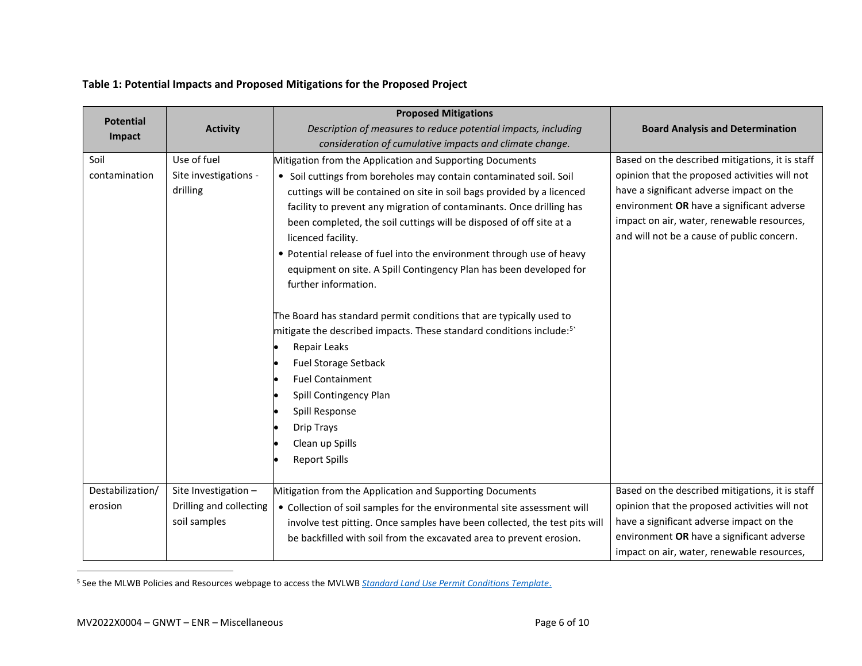## **Table 1: Potential Impacts and Proposed Mitigations for the Proposed Project**

|                  |                         | <b>Proposed Mitigations</b>                                                     |                                                 |
|------------------|-------------------------|---------------------------------------------------------------------------------|-------------------------------------------------|
| <b>Potential</b> | <b>Activity</b>         | Description of measures to reduce potential impacts, including                  | <b>Board Analysis and Determination</b>         |
| Impact           |                         | consideration of cumulative impacts and climate change.                         |                                                 |
| Soil             | Use of fuel             | Mitigation from the Application and Supporting Documents                        | Based on the described mitigations, it is staff |
| contamination    | Site investigations -   | • Soil cuttings from boreholes may contain contaminated soil. Soil              | opinion that the proposed activities will not   |
|                  | drilling                | cuttings will be contained on site in soil bags provided by a licenced          | have a significant adverse impact on the        |
|                  |                         | facility to prevent any migration of contaminants. Once drilling has            | environment OR have a significant adverse       |
|                  |                         | been completed, the soil cuttings will be disposed of off site at a             | impact on air, water, renewable resources,      |
|                  |                         | licenced facility.                                                              | and will not be a cause of public concern.      |
|                  |                         | • Potential release of fuel into the environment through use of heavy           |                                                 |
|                  |                         | equipment on site. A Spill Contingency Plan has been developed for              |                                                 |
|                  |                         | further information.                                                            |                                                 |
|                  |                         | The Board has standard permit conditions that are typically used to             |                                                 |
|                  |                         | mitigate the described impacts. These standard conditions include: <sup>5</sup> |                                                 |
|                  |                         | Repair Leaks                                                                    |                                                 |
|                  |                         | <b>Fuel Storage Setback</b>                                                     |                                                 |
|                  |                         | <b>Fuel Containment</b>                                                         |                                                 |
|                  |                         | Spill Contingency Plan                                                          |                                                 |
|                  |                         | Spill Response                                                                  |                                                 |
|                  |                         | <b>Drip Trays</b>                                                               |                                                 |
|                  |                         | Clean up Spills                                                                 |                                                 |
|                  |                         | <b>Report Spills</b>                                                            |                                                 |
|                  |                         |                                                                                 |                                                 |
| Destabilization/ | Site Investigation -    | Mitigation from the Application and Supporting Documents                        | Based on the described mitigations, it is staff |
| erosion          | Drilling and collecting | • Collection of soil samples for the environmental site assessment will         | opinion that the proposed activities will not   |
|                  | soil samples            | involve test pitting. Once samples have been collected, the test pits will      | have a significant adverse impact on the        |
|                  |                         | be backfilled with soil from the excavated area to prevent erosion.             | environment OR have a significant adverse       |
|                  |                         |                                                                                 | impact on air, water, renewable resources,      |

<sup>5</sup> See the MLWB Policies and Resources webpage to access the MVLWB *[Standard Land Use Permit Conditions Template](https://mvlwb.com/sites/default/files/standard_land_use_permit_conditions_template_-_public_version_2.3_-_aug_7_20.pdf)*.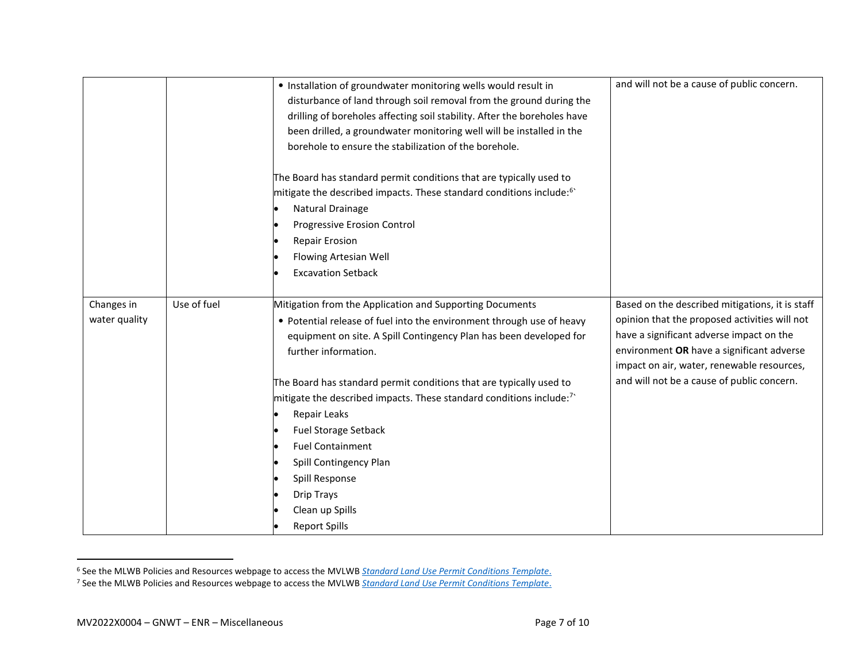|                             |             | • Installation of groundwater monitoring wells would result in<br>disturbance of land through soil removal from the ground during the<br>drilling of boreholes affecting soil stability. After the boreholes have<br>been drilled, a groundwater monitoring well will be installed in the<br>borehole to ensure the stabilization of the borehole.<br>The Board has standard permit conditions that are typically used to<br>mitigate the described impacts. These standard conditions include: <sup>6</sup> '<br>Natural Drainage<br>Progressive Erosion Control<br><b>Repair Erosion</b><br>Flowing Artesian Well<br><b>Excavation Setback</b> | and will not be a cause of public concern.                                                                                                                                                                                              |
|-----------------------------|-------------|--------------------------------------------------------------------------------------------------------------------------------------------------------------------------------------------------------------------------------------------------------------------------------------------------------------------------------------------------------------------------------------------------------------------------------------------------------------------------------------------------------------------------------------------------------------------------------------------------------------------------------------------------|-----------------------------------------------------------------------------------------------------------------------------------------------------------------------------------------------------------------------------------------|
|                             |             |                                                                                                                                                                                                                                                                                                                                                                                                                                                                                                                                                                                                                                                  |                                                                                                                                                                                                                                         |
| Changes in<br>water quality | Use of fuel | Mitigation from the Application and Supporting Documents<br>• Potential release of fuel into the environment through use of heavy<br>equipment on site. A Spill Contingency Plan has been developed for<br>further information.                                                                                                                                                                                                                                                                                                                                                                                                                  | Based on the described mitigations, it is staff<br>opinion that the proposed activities will not<br>have a significant adverse impact on the<br>environment OR have a significant adverse<br>impact on air, water, renewable resources, |
|                             |             | The Board has standard permit conditions that are typically used to<br>mitigate the described impacts. These standard conditions include: <sup>7</sup><br>Repair Leaks<br><b>Fuel Storage Setback</b><br><b>Fuel Containment</b><br>Spill Contingency Plan<br>Spill Response<br><b>Drip Trays</b><br>Clean up Spills<br><b>Report Spills</b>                                                                                                                                                                                                                                                                                                     | and will not be a cause of public concern.                                                                                                                                                                                              |

<sup>6</sup> See the MLWB Policies and Resources webpage to access the MVLWB *[Standard Land Use Permit Conditions Template](https://mvlwb.com/sites/default/files/standard_land_use_permit_conditions_template_-_public_version_2.3_-_aug_7_20.pdf)*.

<sup>7</sup> See the MLWB Policies and Resources webpage to access the MVLWB *[Standard Land Use Permit Conditions Template](https://mvlwb.com/sites/default/files/standard_land_use_permit_conditions_template_-_public_version_2.3_-_aug_7_20.pdf)*.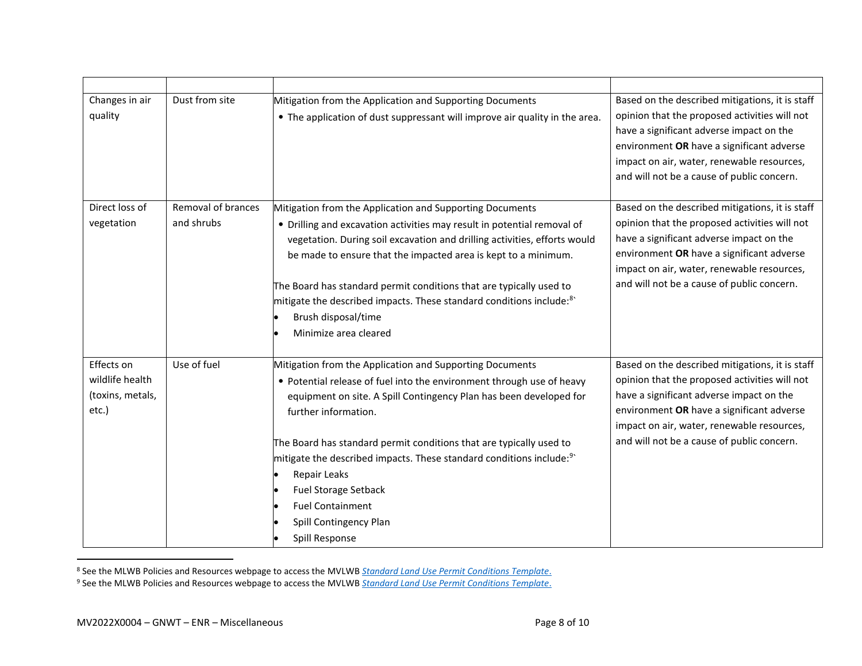| Changes in air<br>quality                                  | Dust from site                   | Mitigation from the Application and Supporting Documents<br>• The application of dust suppressant will improve air quality in the area.                                                                                                                                                                                                                                                                                                                                                                         | Based on the described mitigations, it is staff<br>opinion that the proposed activities will not<br>have a significant adverse impact on the<br>environment OR have a significant adverse<br>impact on air, water, renewable resources,<br>and will not be a cause of public concern. |
|------------------------------------------------------------|----------------------------------|-----------------------------------------------------------------------------------------------------------------------------------------------------------------------------------------------------------------------------------------------------------------------------------------------------------------------------------------------------------------------------------------------------------------------------------------------------------------------------------------------------------------|---------------------------------------------------------------------------------------------------------------------------------------------------------------------------------------------------------------------------------------------------------------------------------------|
| Direct loss of<br>vegetation                               | Removal of brances<br>and shrubs | Mitigation from the Application and Supporting Documents<br>• Drilling and excavation activities may result in potential removal of<br>vegetation. During soil excavation and drilling activities, efforts would<br>be made to ensure that the impacted area is kept to a minimum.<br>The Board has standard permit conditions that are typically used to<br>mitigate the described impacts. These standard conditions include: <sup>8</sup><br>Brush disposal/time<br>Minimize area cleared                    | Based on the described mitigations, it is staff<br>opinion that the proposed activities will not<br>have a significant adverse impact on the<br>environment OR have a significant adverse<br>impact on air, water, renewable resources,<br>and will not be a cause of public concern. |
| Effects on<br>wildlife health<br>(toxins, metals,<br>etc.) | Use of fuel                      | Mitigation from the Application and Supporting Documents<br>• Potential release of fuel into the environment through use of heavy<br>equipment on site. A Spill Contingency Plan has been developed for<br>further information.<br>The Board has standard permit conditions that are typically used to<br>mitigate the described impacts. These standard conditions include: <sup>9</sup><br>Repair Leaks<br><b>Fuel Storage Setback</b><br><b>Fuel Containment</b><br>Spill Contingency Plan<br>Spill Response | Based on the described mitigations, it is staff<br>opinion that the proposed activities will not<br>have a significant adverse impact on the<br>environment OR have a significant adverse<br>impact on air, water, renewable resources,<br>and will not be a cause of public concern. |

<sup>8</sup> See the MLWB Policies and Resources webpage to access the MVLWB *[Standard Land Use Permit Conditions Template](https://mvlwb.com/sites/default/files/standard_land_use_permit_conditions_template_-_public_version_2.3_-_aug_7_20.pdf)*.

<sup>9</sup> See the MLWB Policies and Resources webpage to access the MVLWB *[Standard Land Use Permit Conditions Template](https://mvlwb.com/sites/default/files/standard_land_use_permit_conditions_template_-_public_version_2.3_-_aug_7_20.pdf)*.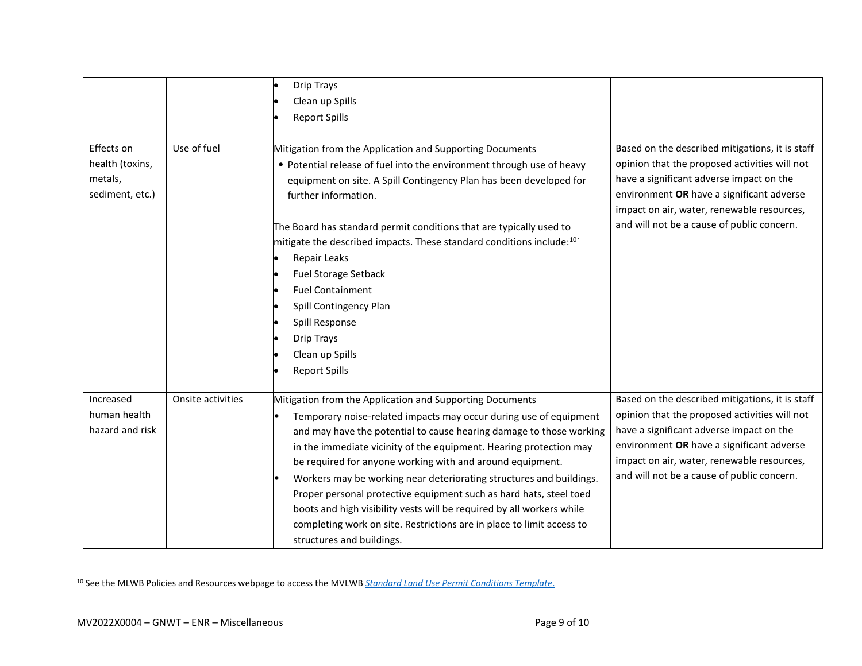|                                                             |                   | <b>Drip Trays</b>                                                                                                                                                                                                                                                                                                                                                                                                                                                                                                                                                                                                                                                   |                                                                                                                                                                                                                                                                                       |
|-------------------------------------------------------------|-------------------|---------------------------------------------------------------------------------------------------------------------------------------------------------------------------------------------------------------------------------------------------------------------------------------------------------------------------------------------------------------------------------------------------------------------------------------------------------------------------------------------------------------------------------------------------------------------------------------------------------------------------------------------------------------------|---------------------------------------------------------------------------------------------------------------------------------------------------------------------------------------------------------------------------------------------------------------------------------------|
|                                                             |                   | Clean up Spills                                                                                                                                                                                                                                                                                                                                                                                                                                                                                                                                                                                                                                                     |                                                                                                                                                                                                                                                                                       |
|                                                             |                   | <b>Report Spills</b>                                                                                                                                                                                                                                                                                                                                                                                                                                                                                                                                                                                                                                                |                                                                                                                                                                                                                                                                                       |
| Effects on<br>health (toxins,<br>metals,<br>sediment, etc.) | Use of fuel       | Mitigation from the Application and Supporting Documents<br>• Potential release of fuel into the environment through use of heavy<br>equipment on site. A Spill Contingency Plan has been developed for<br>further information.<br>The Board has standard permit conditions that are typically used to<br>mitigate the described impacts. These standard conditions include: <sup>10</sup><br>Repair Leaks<br><b>Fuel Storage Setback</b><br><b>Fuel Containment</b><br>Spill Contingency Plan<br>Spill Response<br><b>Drip Trays</b><br>Clean up Spills<br><b>Report Spills</b>                                                                                    | Based on the described mitigations, it is staff<br>opinion that the proposed activities will not<br>have a significant adverse impact on the<br>environment OR have a significant adverse<br>impact on air, water, renewable resources,<br>and will not be a cause of public concern. |
| Increased<br>human health<br>hazard and risk                | Onsite activities | Mitigation from the Application and Supporting Documents<br>Temporary noise-related impacts may occur during use of equipment<br>and may have the potential to cause hearing damage to those working<br>in the immediate vicinity of the equipment. Hearing protection may<br>be required for anyone working with and around equipment.<br>Workers may be working near deteriorating structures and buildings.<br>Proper personal protective equipment such as hard hats, steel toed<br>boots and high visibility vests will be required by all workers while<br>completing work on site. Restrictions are in place to limit access to<br>structures and buildings. | Based on the described mitigations, it is staff<br>opinion that the proposed activities will not<br>have a significant adverse impact on the<br>environment OR have a significant adverse<br>impact on air, water, renewable resources,<br>and will not be a cause of public concern. |

<sup>10</sup> See the MLWB Policies and Resources webpage to access the MVLWB *[Standard Land Use Permit Conditions Template](https://mvlwb.com/sites/default/files/standard_land_use_permit_conditions_template_-_public_version_2.3_-_aug_7_20.pdf)*.